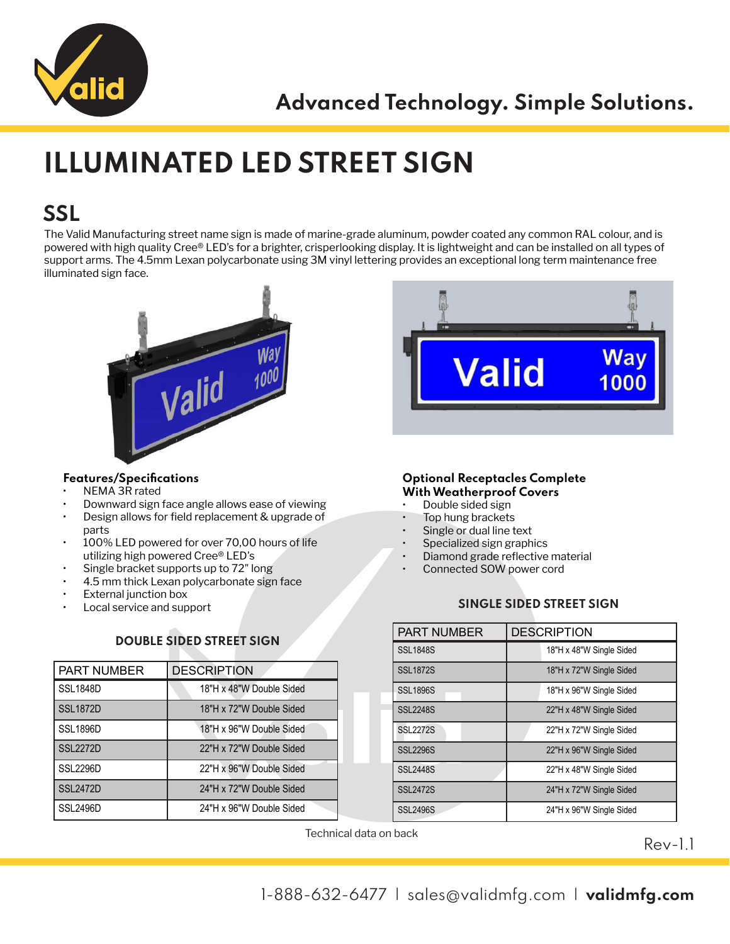

# **ILLUMINATED LED STREET SIGN**

### **SSL**

The Valid Manufacturing street name sign is made of marine-grade aluminum, powder coated any common RAL colour, and is powered with high quality Cree® LED's for a brighter, crisperlooking display. It is lightweight and can be installed on all types of support arms. The 4.5mm Lexan polycarbonate using 3M vinyl lettering provides an exceptional long term maintenance free illuminated sign face.





#### **Features/Specifications**

- NEMA 3R rated
- Downward sign face angle allows ease of viewing
- Design allows for field replacement & upgrade of parts
- 100% LED powered for over 70,00 hours of life utilizing high powered Cree® LED's
- Single bracket supports up to 72" long
- 4.5 mm thick Lexan polycarbonate sign face
- External junction box
- Local service and support

#### **DOUBLE SIDED STREET SIGN**

| <b>PART NUMBER</b> | <b>DESCRIPTION</b>       |
|--------------------|--------------------------|
| <b>SSL1848D</b>    | 18"H x 48"W Double Sided |
| <b>SSL1872D</b>    | 18"H x 72"W Double Sided |
| <b>SSL1896D</b>    | 18"H x 96"W Double Sided |
| <b>SSL2272D</b>    | 22"H x 72"W Double Sided |
| <b>SSL2296D</b>    | 22"H x 96"W Double Sided |
| <b>SSL2472D</b>    | 24"H x 72"W Double Sided |
| <b>SSL2496D</b>    | 24"H x 96"W Double Sided |

**Optional Receptacles Complete With Weatherproof Covers**

- Double sided sign
- Top hung brackets
- Single or dual line text
- Specialized sign graphics
- Diamond grade reflective material
- Connected SOW power cord

#### **SINGLE SIDED STREET SIGN**

| <b>PART NUMBER</b> | <b>DESCRIPTION</b>       |
|--------------------|--------------------------|
| <b>SSL1848S</b>    | 18"H x 48"W Single Sided |
| <b>SSL1872S</b>    | 18"H x 72"W Single Sided |
| <b>SSL1896S</b>    | 18"H x 96"W Single Sided |
| <b>SSL2248S</b>    | 22"H x 48"W Single Sided |
| <b>SSL2272S</b>    | 22"H x 72"W Single Sided |
| <b>SSL2296S</b>    | 22"H x 96"W Single Sided |
| <b>SSL2448S</b>    | 22"H x 48"W Single Sided |
| <b>SSL2472S</b>    | 24"H x 72"W Single Sided |
| <b>SSL2496S</b>    | 24"H x 96"W Single Sided |

Technical data on back

Rev-1.1